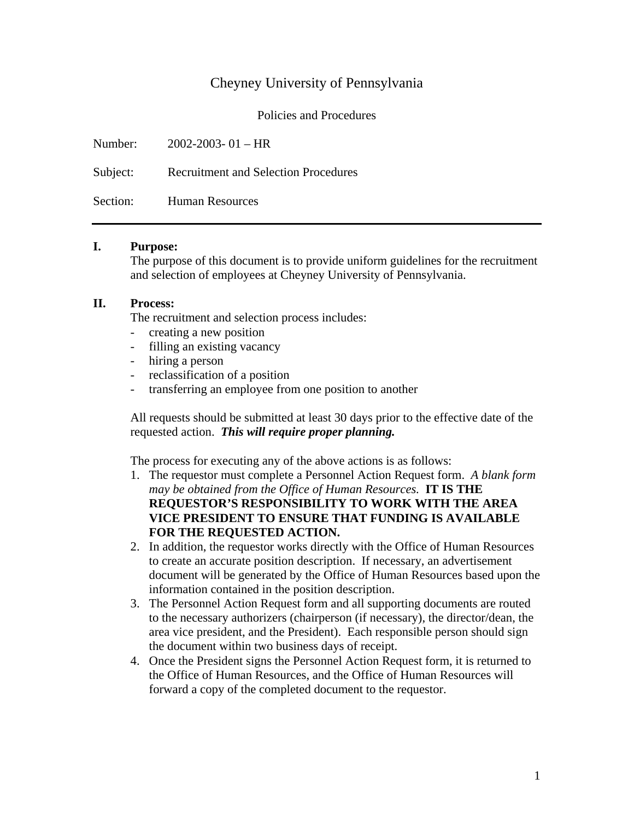# Cheyney University of Pennsylvania

Policies and Procedures

| Number: $2002-2003-01 - HR$                   |
|-----------------------------------------------|
| Subject: Recruitment and Selection Procedures |
| Section: Human Resources                      |

### **I. Purpose:**

The purpose of this document is to provide uniform guidelines for the recruitment and selection of employees at Cheyney University of Pennsylvania.

### **II. Process:**

The recruitment and selection process includes:

- creating a new position
- filling an existing vacancy
- hiring a person
- reclassification of a position
- transferring an employee from one position to another

All requests should be submitted at least 30 days prior to the effective date of the requested action. *This will require proper planning.*

The process for executing any of the above actions is as follows:

- 1. The requestor must complete a Personnel Action Request form. *A blank form may be obtained from the Office of Human Resources.* **IT IS THE REQUESTOR'S RESPONSIBILITY TO WORK WITH THE AREA VICE PRESIDENT TO ENSURE THAT FUNDING IS AVAILABLE FOR THE REQUESTED ACTION.**
- 2. In addition, the requestor works directly with the Office of Human Resources to create an accurate position description. If necessary, an advertisement document will be generated by the Office of Human Resources based upon the information contained in the position description.
- 3. The Personnel Action Request form and all supporting documents are routed to the necessary authorizers (chairperson (if necessary), the director/dean, the area vice president, and the President). Each responsible person should sign the document within two business days of receipt.
- 4. Once the President signs the Personnel Action Request form, it is returned to the Office of Human Resources, and the Office of Human Resources will forward a copy of the completed document to the requestor.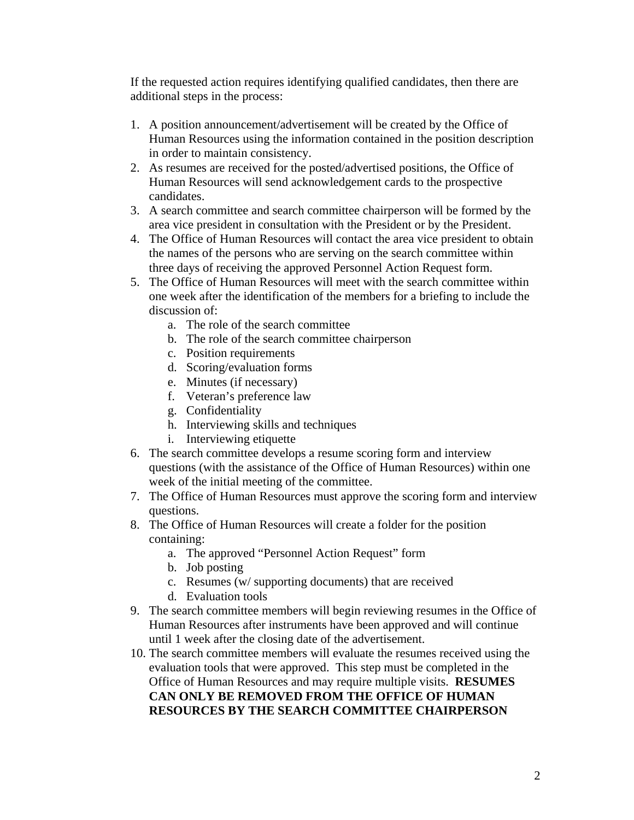If the requested action requires identifying qualified candidates, then there are additional steps in the process:

- 1. A position announcement/advertisement will be created by the Office of Human Resources using the information contained in the position description in order to maintain consistency.
- 2. As resumes are received for the posted/advertised positions, the Office of Human Resources will send acknowledgement cards to the prospective candidates.
- 3. A search committee and search committee chairperson will be formed by the area vice president in consultation with the President or by the President.
- 4. The Office of Human Resources will contact the area vice president to obtain the names of the persons who are serving on the search committee within three days of receiving the approved Personnel Action Request form.
- 5. The Office of Human Resources will meet with the search committee within one week after the identification of the members for a briefing to include the discussion of:
	- a. The role of the search committee
	- b. The role of the search committee chairperson
	- c. Position requirements
	- d. Scoring/evaluation forms
	- e. Minutes (if necessary)
	- f. Veteran's preference law
	- g. Confidentiality
	- h. Interviewing skills and techniques
	- i. Interviewing etiquette
- 6. The search committee develops a resume scoring form and interview questions (with the assistance of the Office of Human Resources) within one week of the initial meeting of the committee.
- 7. The Office of Human Resources must approve the scoring form and interview questions.
- 8. The Office of Human Resources will create a folder for the position containing:
	- a. The approved "Personnel Action Request" form
	- b. Job posting
	- c. Resumes (w/ supporting documents) that are received
	- d. Evaluation tools
- 9. The search committee members will begin reviewing resumes in the Office of Human Resources after instruments have been approved and will continue until 1 week after the closing date of the advertisement.
- 10. The search committee members will evaluate the resumes received using the evaluation tools that were approved. This step must be completed in the Office of Human Resources and may require multiple visits. **RESUMES CAN ONLY BE REMOVED FROM THE OFFICE OF HUMAN RESOURCES BY THE SEARCH COMMITTEE CHAIRPERSON**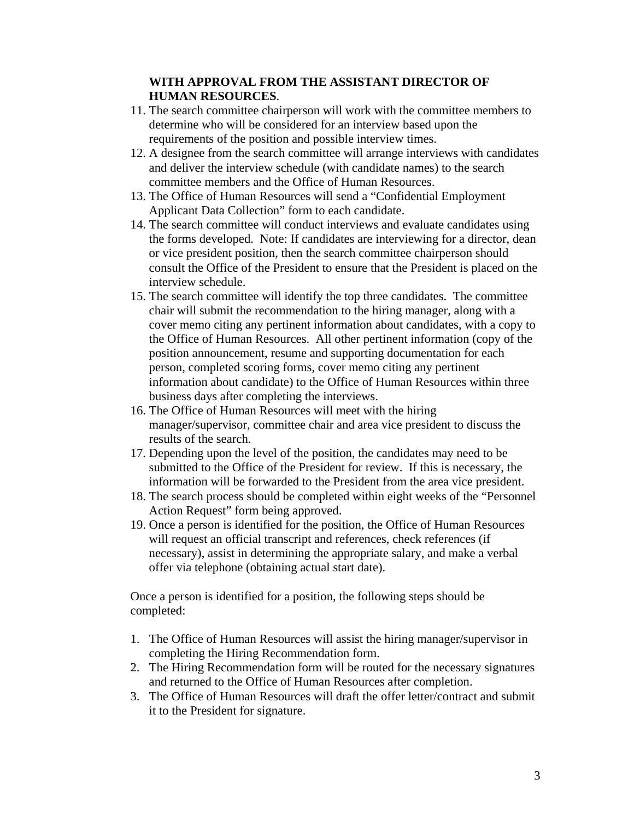### **WITH APPROVAL FROM THE ASSISTANT DIRECTOR OF HUMAN RESOURCES**.

- 11. The search committee chairperson will work with the committee members to determine who will be considered for an interview based upon the requirements of the position and possible interview times.
- 12. A designee from the search committee will arrange interviews with candidates and deliver the interview schedule (with candidate names) to the search committee members and the Office of Human Resources.
- 13. The Office of Human Resources will send a "Confidential Employment Applicant Data Collection" form to each candidate.
- 14. The search committee will conduct interviews and evaluate candidates using the forms developed. Note: If candidates are interviewing for a director, dean or vice president position, then the search committee chairperson should consult the Office of the President to ensure that the President is placed on the interview schedule.
- 15. The search committee will identify the top three candidates. The committee chair will submit the recommendation to the hiring manager, along with a cover memo citing any pertinent information about candidates, with a copy to the Office of Human Resources. All other pertinent information (copy of the position announcement, resume and supporting documentation for each person, completed scoring forms, cover memo citing any pertinent information about candidate) to the Office of Human Resources within three business days after completing the interviews.
- 16. The Office of Human Resources will meet with the hiring manager/supervisor, committee chair and area vice president to discuss the results of the search.
- 17. Depending upon the level of the position, the candidates may need to be submitted to the Office of the President for review. If this is necessary, the information will be forwarded to the President from the area vice president.
- 18. The search process should be completed within eight weeks of the "Personnel Action Request" form being approved.
- 19. Once a person is identified for the position, the Office of Human Resources will request an official transcript and references, check references (if necessary), assist in determining the appropriate salary, and make a verbal offer via telephone (obtaining actual start date).

Once a person is identified for a position, the following steps should be completed:

- 1. The Office of Human Resources will assist the hiring manager/supervisor in completing the Hiring Recommendation form.
- 2. The Hiring Recommendation form will be routed for the necessary signatures and returned to the Office of Human Resources after completion.
- 3. The Office of Human Resources will draft the offer letter/contract and submit it to the President for signature.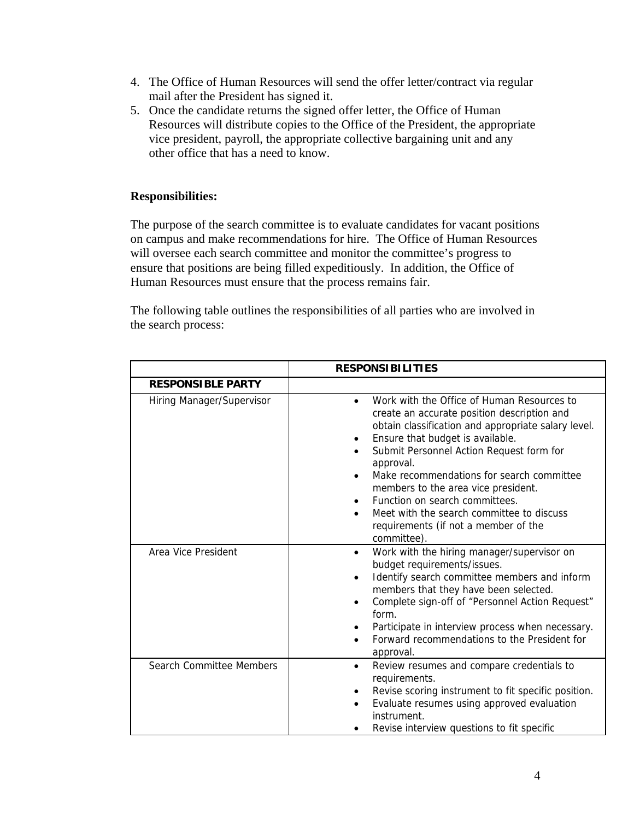- 4. The Office of Human Resources will send the offer letter/contract via regular mail after the President has signed it.
- 5. Once the candidate returns the signed offer letter, the Office of Human Resources will distribute copies to the Office of the President, the appropriate vice president, payroll, the appropriate collective bargaining unit and any other office that has a need to know.

## **Responsibilities:**

The purpose of the search committee is to evaluate candidates for vacant positions on campus and make recommendations for hire. The Office of Human Resources will oversee each search committee and monitor the committee's progress to ensure that positions are being filled expeditiously. In addition, the Office of Human Resources must ensure that the process remains fair.

The following table outlines the responsibilities of all parties who are involved in the search process:

|                           | <b>RESPONSIBILITIES</b>                                                                                                                                                                                                                                                                                                                                                                                                                                                              |  |  |  |
|---------------------------|--------------------------------------------------------------------------------------------------------------------------------------------------------------------------------------------------------------------------------------------------------------------------------------------------------------------------------------------------------------------------------------------------------------------------------------------------------------------------------------|--|--|--|
| <b>RESPONSIBLE PARTY</b>  |                                                                                                                                                                                                                                                                                                                                                                                                                                                                                      |  |  |  |
| Hiring Manager/Supervisor | Work with the Office of Human Resources to<br>create an accurate position description and<br>obtain classification and appropriate salary level.<br>Ensure that budget is available.<br>$\bullet$<br>Submit Personnel Action Request form for<br>approval.<br>Make recommendations for search committee<br>members to the area vice president.<br>Function on search committees.<br>Meet with the search committee to discuss<br>requirements (if not a member of the<br>committee). |  |  |  |
| Area Vice President       | Work with the hiring manager/supervisor on<br>٠<br>budget requirements/issues.<br>Identify search committee members and inform<br>members that they have been selected.<br>Complete sign-off of "Personnel Action Request"<br>form.<br>Participate in interview process when necessary.<br>Forward recommendations to the President for<br>approval.                                                                                                                                 |  |  |  |
| Search Committee Members  | Review resumes and compare credentials to<br>$\bullet$<br>requirements.<br>Revise scoring instrument to fit specific position.<br>Evaluate resumes using approved evaluation<br>٠<br>instrument.<br>Revise interview questions to fit specific                                                                                                                                                                                                                                       |  |  |  |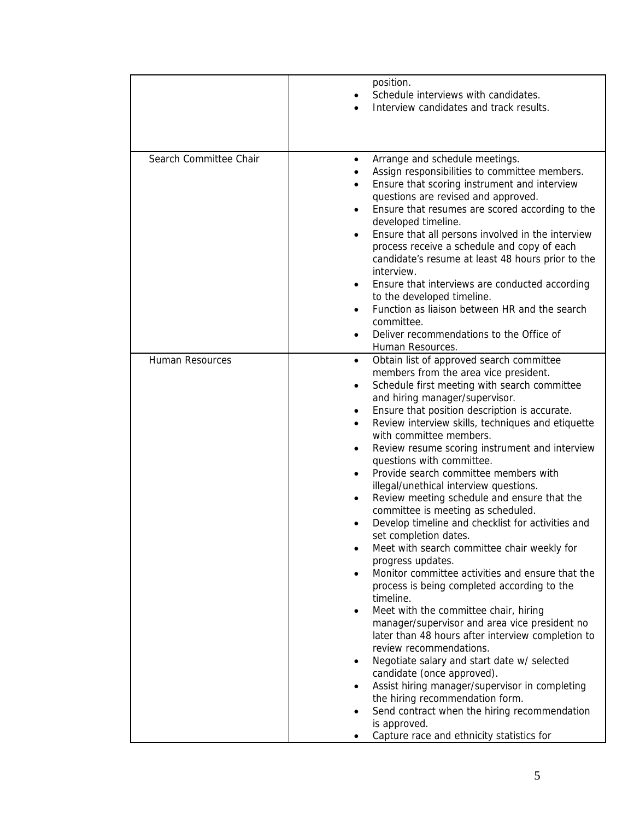|                        | position.<br>Schedule interviews with candidates.<br>Interview candidates and track results.                                                                                                                                                                                                                                                                                                                                                                                                                                                                                                                                                                                                                                                                                                                                                                                                                                                                                                                                                                                                                                                 |
|------------------------|----------------------------------------------------------------------------------------------------------------------------------------------------------------------------------------------------------------------------------------------------------------------------------------------------------------------------------------------------------------------------------------------------------------------------------------------------------------------------------------------------------------------------------------------------------------------------------------------------------------------------------------------------------------------------------------------------------------------------------------------------------------------------------------------------------------------------------------------------------------------------------------------------------------------------------------------------------------------------------------------------------------------------------------------------------------------------------------------------------------------------------------------|
|                        |                                                                                                                                                                                                                                                                                                                                                                                                                                                                                                                                                                                                                                                                                                                                                                                                                                                                                                                                                                                                                                                                                                                                              |
| Search Committee Chair | Arrange and schedule meetings.<br>$\bullet$<br>Assign responsibilities to committee members.<br>Ensure that scoring instrument and interview<br>questions are revised and approved.<br>Ensure that resumes are scored according to the<br>developed timeline.<br>Ensure that all persons involved in the interview<br>process receive a schedule and copy of each<br>candidate's resume at least 48 hours prior to the<br>interview.<br>Ensure that interviews are conducted according<br>to the developed timeline.<br>Function as liaison between HR and the search<br>committee.                                                                                                                                                                                                                                                                                                                                                                                                                                                                                                                                                          |
|                        | Deliver recommendations to the Office of                                                                                                                                                                                                                                                                                                                                                                                                                                                                                                                                                                                                                                                                                                                                                                                                                                                                                                                                                                                                                                                                                                     |
| <b>Human Resources</b> | Human Resources.<br>Obtain list of approved search committee<br>$\bullet$<br>members from the area vice president.<br>Schedule first meeting with search committee<br>$\bullet$<br>and hiring manager/supervisor.<br>Ensure that position description is accurate.<br>Review interview skills, techniques and etiquette<br>with committee members.<br>Review resume scoring instrument and interview<br>٠<br>questions with committee.<br>Provide search committee members with<br>illegal/unethical interview questions.<br>Review meeting schedule and ensure that the<br>committee is meeting as scheduled.<br>Develop timeline and checklist for activities and<br>set completion dates.<br>Meet with search committee chair weekly for<br>progress updates.<br>Monitor committee activities and ensure that the<br>process is being completed according to the<br>timeline.<br>Meet with the committee chair, hiring<br>٠<br>manager/supervisor and area vice president no<br>later than 48 hours after interview completion to<br>review recommendations.<br>Negotiate salary and start date w/ selected<br>candidate (once approved). |
|                        | Assist hiring manager/supervisor in completing<br>the hiring recommendation form.<br>Send contract when the hiring recommendation                                                                                                                                                                                                                                                                                                                                                                                                                                                                                                                                                                                                                                                                                                                                                                                                                                                                                                                                                                                                            |
|                        | is approved.<br>Capture race and ethnicity statistics for                                                                                                                                                                                                                                                                                                                                                                                                                                                                                                                                                                                                                                                                                                                                                                                                                                                                                                                                                                                                                                                                                    |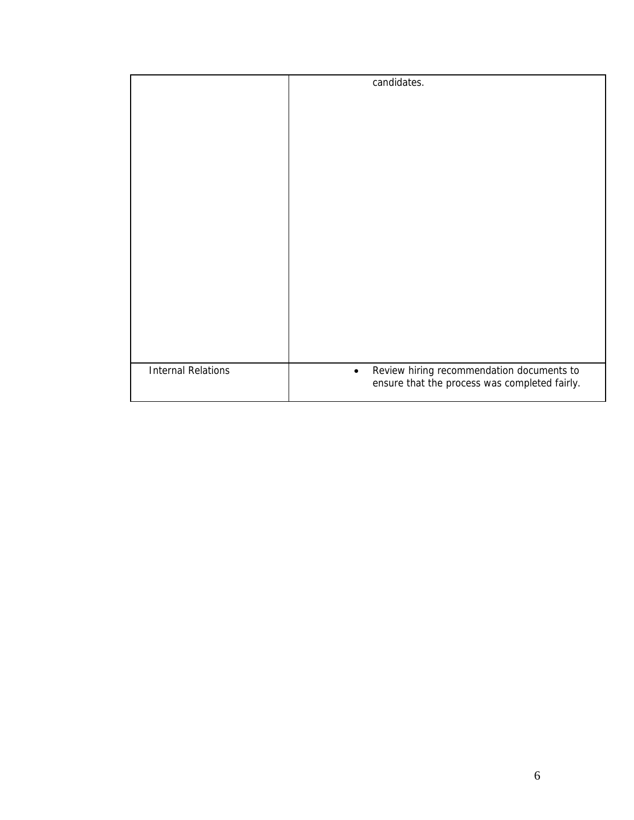|                           | candidates.                                            |
|---------------------------|--------------------------------------------------------|
|                           |                                                        |
|                           |                                                        |
|                           |                                                        |
|                           |                                                        |
|                           |                                                        |
|                           |                                                        |
|                           |                                                        |
|                           |                                                        |
|                           |                                                        |
|                           |                                                        |
|                           |                                                        |
|                           |                                                        |
|                           |                                                        |
|                           |                                                        |
|                           |                                                        |
|                           |                                                        |
| <b>Internal Relations</b> | Review hiring recommendation documents to<br>$\bullet$ |
|                           | ensure that the process was completed fairly.          |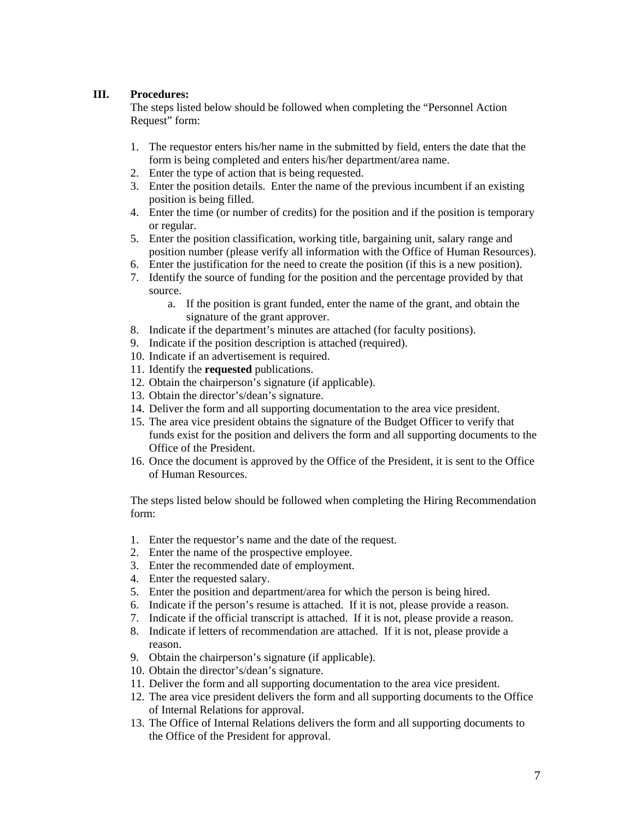#### **III. Procedures:**

The steps listed below should be followed when completing the "Personnel Action Request" form:

- 1. The requestor enters his/her name in the submitted by field, enters the date that the form is being completed and enters his/her department/area name.
- 2. Enter the type of action that is being requested.
- 3. Enter the position details. Enter the name of the previous incumbent if an existing position is being filled.
- 4. Enter the time (or number of credits) for the position and if the position is temporary or regular.
- 5. Enter the position classification, working title, bargaining unit, salary range and position number (please verify all information with the Office of Human Resources).
- 6. Enter the justification for the need to create the position (if this is a new position).
- 7. Identify the source of funding for the position and the percentage provided by that source.
	- a. If the position is grant funded, enter the name of the grant, and obtain the signature of the grant approver.
- 8. Indicate if the department's minutes are attached (for faculty positions).
- 9. Indicate if the position description is attached (required).
- 10. Indicate if an advertisement is required.
- 11. Identify the **requested** publications.
- 12. Obtain the chairperson's signature (if applicable).
- 13. Obtain the director's/dean's signature.
- 14. Deliver the form and all supporting documentation to the area vice president.
- 15. The area vice president obtains the signature of the Budget Officer to verify that funds exist for the position and delivers the form and all supporting documents to the Office of the President.
- 16. Once the document is approved by the Office of the President, it is sent to the Office of Human Resources.

The steps listed below should be followed when completing the Hiring Recommendation form:

- 1. Enter the requestor's name and the date of the request.
- 2. Enter the name of the prospective employee.
- 3. Enter the recommended date of employment.
- 4. Enter the requested salary.
- 5. Enter the position and department/area for which the person is being hired.
- 6. Indicate if the person's resume is attached. If it is not, please provide a reason.
- 7. Indicate if the official transcript is attached. If it is not, please provide a reason.
- 8. Indicate if letters of recommendation are attached. If it is not, please provide a reason.
- 9. Obtain the chairperson's signature (if applicable).
- 10. Obtain the director's/dean's signature.
- 11. Deliver the form and all supporting documentation to the area vice president.
- 12. The area vice president delivers the form and all supporting documents to the Office of Internal Relations for approval.
- 13. The Office of Internal Relations delivers the form and all supporting documents to the Office of the President for approval.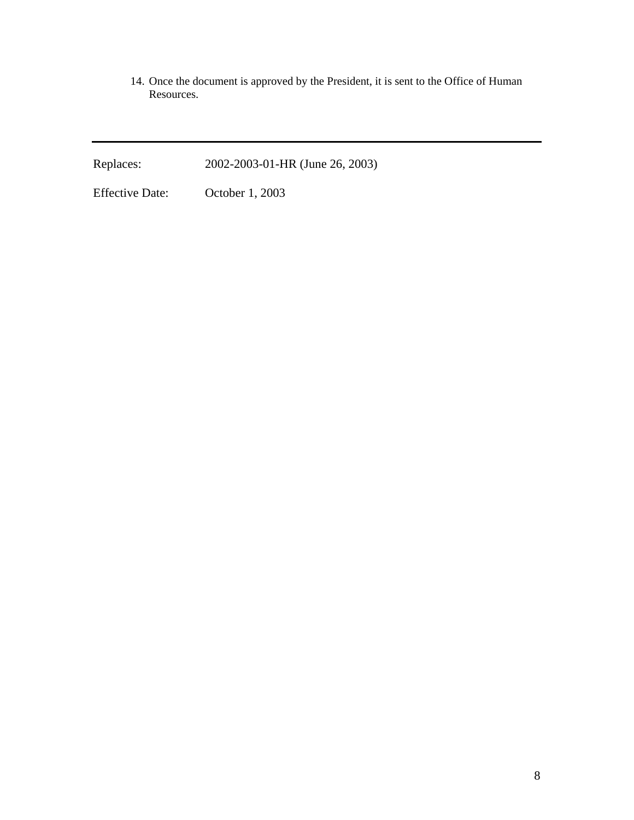14. Once the document is approved by the President, it is sent to the Office of Human Resources.

Replaces: 2002-2003-01-HR (June 26, 2003)

Effective Date: October 1, 2003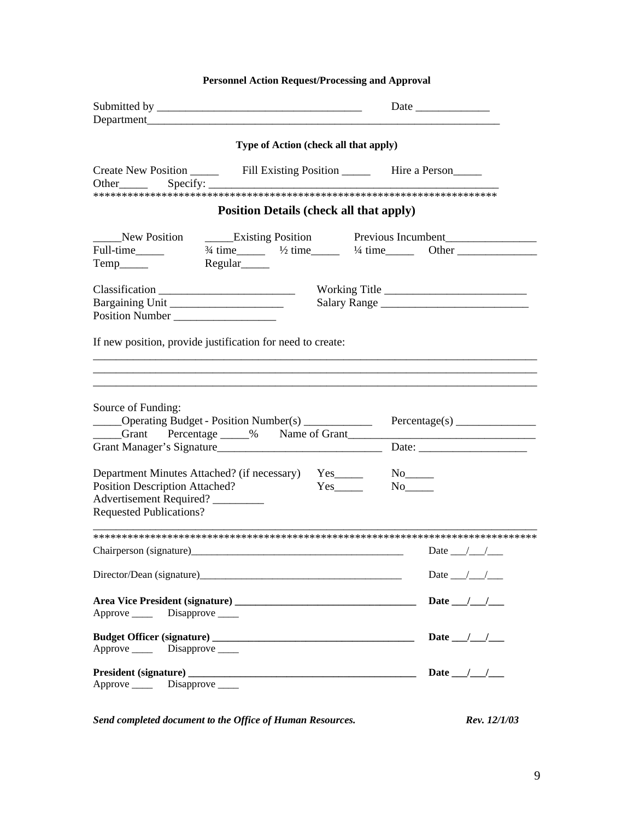| <b>Personnel Action Request/Processing and Approval</b>                                                                                                                         |                                                 |
|---------------------------------------------------------------------------------------------------------------------------------------------------------------------------------|-------------------------------------------------|
|                                                                                                                                                                                 |                                                 |
| Type of Action (check all that apply)                                                                                                                                           |                                                 |
|                                                                                                                                                                                 |                                                 |
| <b>Position Details (check all that apply)</b>                                                                                                                                  |                                                 |
| New Position <u>Conservation</u> Existing Position Previous Incumbent<br>Full-time $\frac{3}{4}$ time $\frac{1}{2}$ time $\frac{1}{4}$ time Other<br>Regular <sub>_______</sub> | Working Title<br>Salary Range                   |
| If new position, provide justification for need to create:<br>Source of Funding:<br>_____Operating Budget - Position Number(s) ___________<br>Grant Percentage 1% Name of Grant |                                                 |
| Department Minutes Attached? (if necessary) Yes<br>Position Description Attached?<br>Advertisement Required?<br><b>Requested Publications?</b>                                  | $Yes$ <sub>_______</sub>                        |
|                                                                                                                                                                                 |                                                 |
|                                                                                                                                                                                 | Date $\_\_\_\_\_\_\_\_\_\_\_\$                  |
| Director/Dean (signature)<br><u>Director/Dean (signature)</u>                                                                                                                   | Date $\_\_\_\_\_\_\_\_\_\_\_\_\_\_\_\_\_\_\_\_$ |
| Approve _______ Disapprove _____                                                                                                                                                | Date $\frac{1}{\sqrt{2}}$                       |
| Approve Disapprove                                                                                                                                                              | Date $\frac{1}{\sqrt{2}}$                       |
| Approve _______ Disapprove _____                                                                                                                                                | Date $/$ /                                      |

*Send completed document to the Office of Human Resources.* Rev. 12/1/03